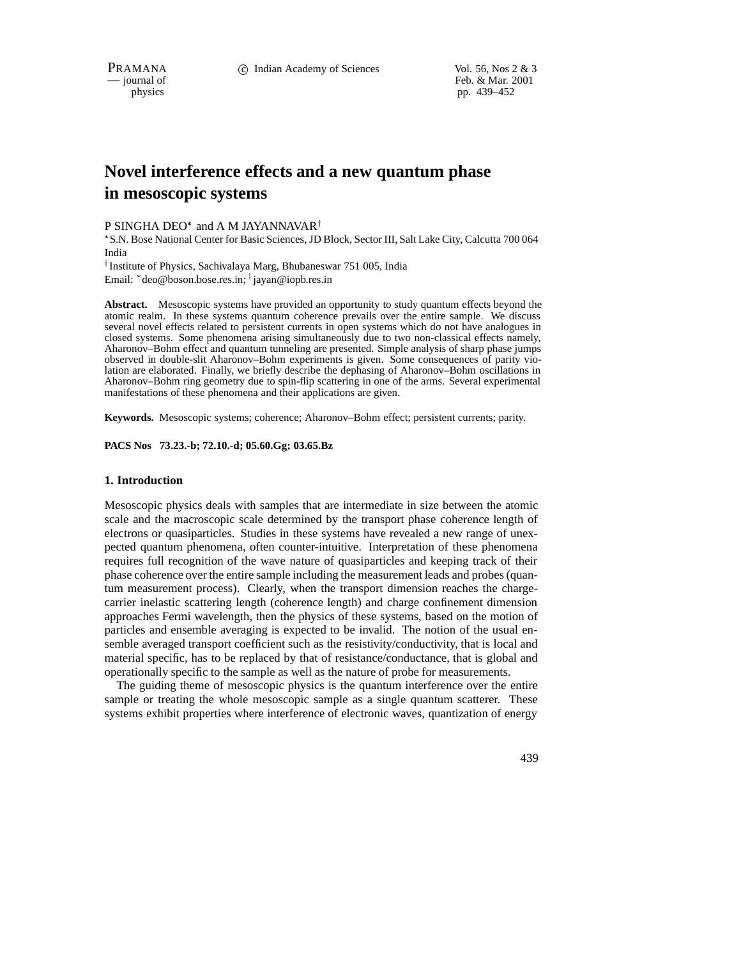PRAMANA 
<sup>c</sup> Indian Academy of Sciences Vol. 56, Nos 2 & 3<br>  $-$  journal of Feb. & Mar. 2001 Feb. & Mar. 2001 physics pp. 439–452

# **Novel interference effects and a new quantum phase in mesoscopic systems**

### P SINGHA DEO\* and A M JAYANNAVAR<sup>†</sup>

 S.N. Bose National Center for Basic Sciences, JD Block, Sector III, Salt Lake City, Calcutta 700 064 India

<sup>†</sup> Institute of Physics, Sachivalaya Marg, Bhubaneswar 751 005, India Email: \*deo@boson.bose.res.in; †jayan@iopb.res.in

**Abstract.** Mesoscopic systems have provided an opportunity to study quantum effects beyond the atomic realm. In these systems quantum coherence prevails over the entire sample. We discuss several novel effects related to persistent currents in open systems which do not have analogues in closed systems. Some phenomena arising simultaneously due to two non-classical effects namely, Aharonov–Bohm effect and quantum tunneling are presented. Simple analysis of sharp phase jumps observed in double-slit Aharonov–Bohm experiments is given. Some consequences of parity violation are elaborated. Finally, we briefly describe the dephasing of Aharonov–Bohm oscillations in Aharonov–Bohm ring geometry due to spin-flip scattering in one of the arms. Several experimental manifestations of these phenomena and their applications are given.

**Keywords.** Mesoscopic systems; coherence; Aharonov–Bohm effect; persistent currents; parity.

**PACS Nos 73.23.-b; 72.10.-d; 05.60.Gg; 03.65.Bz**

# **1. Introduction**

Mesoscopic physics deals with samples that are intermediate in size between the atomic scale and the macroscopic scale determined by the transport phase coherence length of electrons or quasiparticles. Studies in these systems have revealed a new range of unexpected quantum phenomena, often counter-intuitive. Interpretation of these phenomena requires full recognition of the wave nature of quasiparticles and keeping track of their phase coherence over the entire sample including the measurement leads and probes (quantum measurement process). Clearly, when the transport dimension reaches the chargecarrier inelastic scattering length (coherence length) and charge confinement dimension approaches Fermi wavelength, then the physics of these systems, based on the motion of particles and ensemble averaging is expected to be invalid. The notion of the usual ensemble averaged transport coefficient such as the resistivity/conductivity, that is local and material specific, has to be replaced by that of resistance/conductance, that is global and operationally specific to the sample as well as the nature of probe for measurements.

The guiding theme of mesoscopic physics is the quantum interference over the entire sample or treating the whole mesoscopic sample as a single quantum scatterer. These systems exhibit properties where interference of electronic waves, quantization of energy

439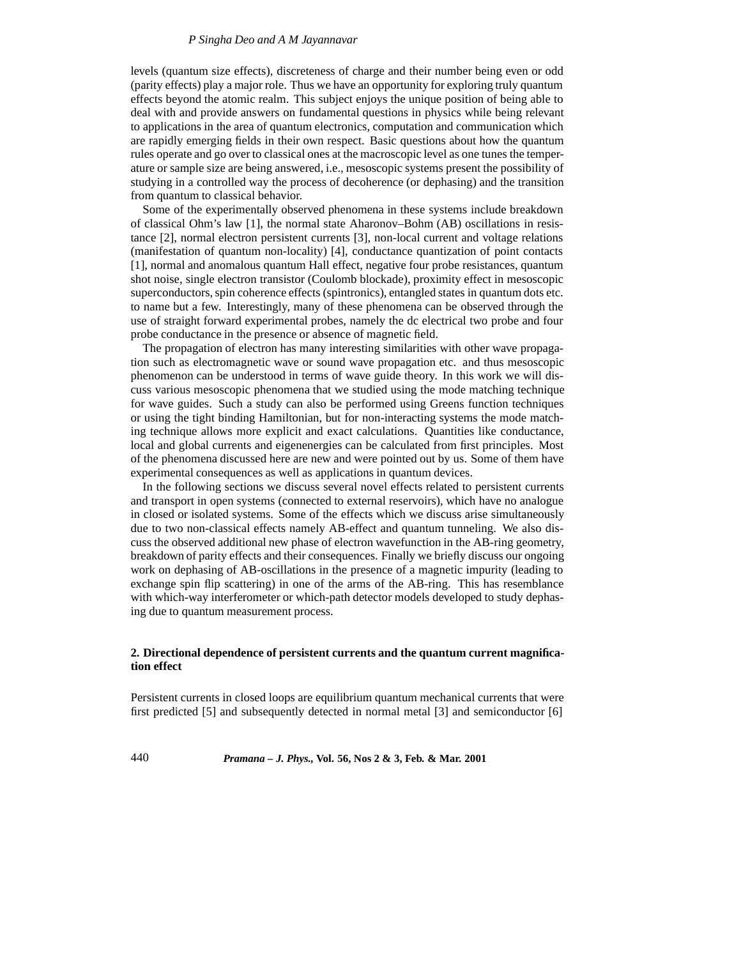levels (quantum size effects), discreteness of charge and their number being even or odd (parity effects) play a major role. Thus we have an opportunity for exploring truly quantum effects beyond the atomic realm. This subject enjoys the unique position of being able to deal with and provide answers on fundamental questions in physics while being relevant to applications in the area of quantum electronics, computation and communication which are rapidly emerging fields in their own respect. Basic questions about how the quantum rules operate and go over to classical ones at the macroscopic level as one tunes the temperature or sample size are being answered, i.e., mesoscopic systems present the possibility of studying in a controlled way the process of decoherence (or dephasing) and the transition from quantum to classical behavior.

Some of the experimentally observed phenomena in these systems include breakdown of classical Ohm's law [1], the normal state Aharonov–Bohm (AB) oscillations in resistance [2], normal electron persistent currents [3], non-local current and voltage relations (manifestation of quantum non-locality) [4], conductance quantization of point contacts [1], normal and anomalous quantum Hall effect, negative four probe resistances, quantum shot noise, single electron transistor (Coulomb blockade), proximity effect in mesoscopic superconductors, spin coherence effects (spintronics), entangled states in quantum dots etc. to name but a few. Interestingly, many of these phenomena can be observed through the use of straight forward experimental probes, namely the dc electrical two probe and four probe conductance in the presence or absence of magnetic field.

The propagation of electron has many interesting similarities with other wave propagation such as electromagnetic wave or sound wave propagation etc. and thus mesoscopic phenomenon can be understood in terms of wave guide theory. In this work we will discuss various mesoscopic phenomena that we studied using the mode matching technique for wave guides. Such a study can also be performed using Greens function techniques or using the tight binding Hamiltonian, but for non-interacting systems the mode matching technique allows more explicit and exact calculations. Quantities like conductance, local and global currents and eigenenergies can be calculated from first principles. Most of the phenomena discussed here are new and were pointed out by us. Some of them have experimental consequences as well as applications in quantum devices.

In the following sections we discuss several novel effects related to persistent currents and transport in open systems (connected to external reservoirs), which have no analogue in closed or isolated systems. Some of the effects which we discuss arise simultaneously due to two non-classical effects namely AB-effect and quantum tunneling. We also discuss the observed additional new phase of electron wavefunction in the AB-ring geometry, breakdown of parity effects and their consequences. Finally we briefly discuss our ongoing work on dephasing of AB-oscillations in the presence of a magnetic impurity (leading to exchange spin flip scattering) in one of the arms of the AB-ring. This has resemblance with which-way interferometer or which-path detector models developed to study dephasing due to quantum measurement process.

# **2. Directional dependence of persistent currents and the quantum current magnification effect**

Persistent currents in closed loops are equilibrium quantum mechanical currents that were first predicted [5] and subsequently detected in normal metal [3] and semiconductor [6]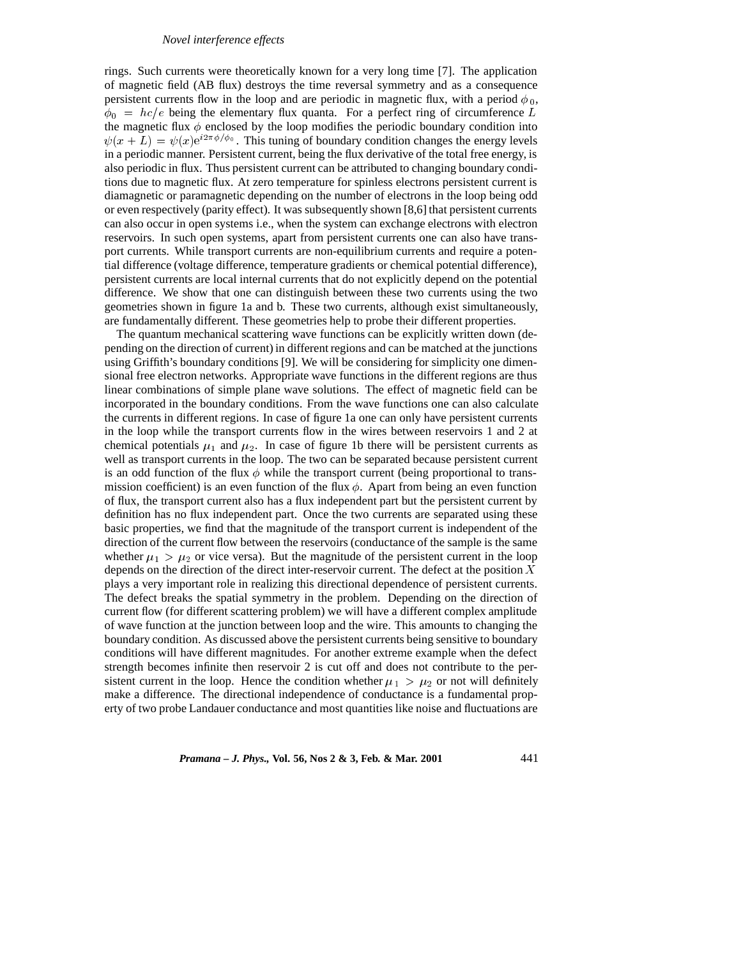rings. Such currents were theoretically known for a very long time [7]. The application of magnetic field (AB flux) destroys the time reversal symmetry and as a consequence persistent currents flow in the loop and are periodic in magnetic flux, with a period  $\phi_0$ ,  $\phi_0 = hc/e$  being the elementary flux quanta. For a perfect ring of circumference L the magnetic flux  $\phi$  enclosed by the loop modifies the periodic boundary condition into  $\psi(x+L) = \psi(x) e^{i2\pi \phi/\phi_0}$ . This tuning of boundary condition changes the energy levels in a periodic manner. Persistent current, being the flux derivative of the total free energy, is also periodic in flux. Thus persistent current can be attributed to changing boundary conditions due to magnetic flux. At zero temperature for spinless electrons persistent current is diamagnetic or paramagnetic depending on the number of electrons in the loop being odd or even respectively (parity effect). It was subsequently shown [8,6] that persistent currents can also occur in open systems i.e., when the system can exchange electrons with electron reservoirs. In such open systems, apart from persistent currents one can also have transport currents. While transport currents are non-equilibrium currents and require a potential difference (voltage difference, temperature gradients or chemical potential difference), persistent currents are local internal currents that do not explicitly depend on the potential difference. We show that one can distinguish between these two currents using the two geometries shown in figure 1a and b. These two currents, although exist simultaneously, are fundamentally different. These geometries help to probe their different properties.

The quantum mechanical scattering wave functions can be explicitly written down (depending on the direction of current) in different regions and can be matched at the junctions using Griffith's boundary conditions [9]. We will be considering for simplicity one dimensional free electron networks. Appropriate wave functions in the different regions are thus linear combinations of simple plane wave solutions. The effect of magnetic field can be incorporated in the boundary conditions. From the wave functions one can also calculate the currents in different regions. In case of figure 1a one can only have persistent currents in the loop while the transport currents flow in the wires between reservoirs 1 and 2 at chemical potentials  $\mu_1$  and  $\mu_2$ . In case of figure 1b there will be persistent currents as well as transport currents in the loop. The two can be separated because persistent current is an odd function of the flux  $\phi$  while the transport current (being proportional to transmission coefficient) is an even function of the flux  $\phi$ . Apart from being an even function of flux, the transport current also has a flux independent part but the persistent current by definition has no flux independent part. Once the two currents are separated using these basic properties, we find that the magnitude of the transport current is independent of the direction of the current flow between the reservoirs (conductance of the sample is the same whether  $\mu_1 > \mu_2$  or vice versa). But the magnitude of the persistent current in the loop depends on the direction of the direct inter-reservoir current. The defect at the position  $X$ plays a very important role in realizing this directional dependence of persistent currents. The defect breaks the spatial symmetry in the problem. Depending on the direction of current flow (for different scattering problem) we will have a different complex amplitude of wave function at the junction between loop and the wire. This amounts to changing the boundary condition. As discussed above the persistent currents being sensitive to boundary conditions will have different magnitudes. For another extreme example when the defect strength becomes infinite then reservoir 2 is cut off and does not contribute to the persistent current in the loop. Hence the condition whether  $\mu_1 > \mu_2$  or not will definitely make a difference. The directional independence of conductance is a fundamental property of two probe Landauer conductance and most quantities like noise and fluctuations are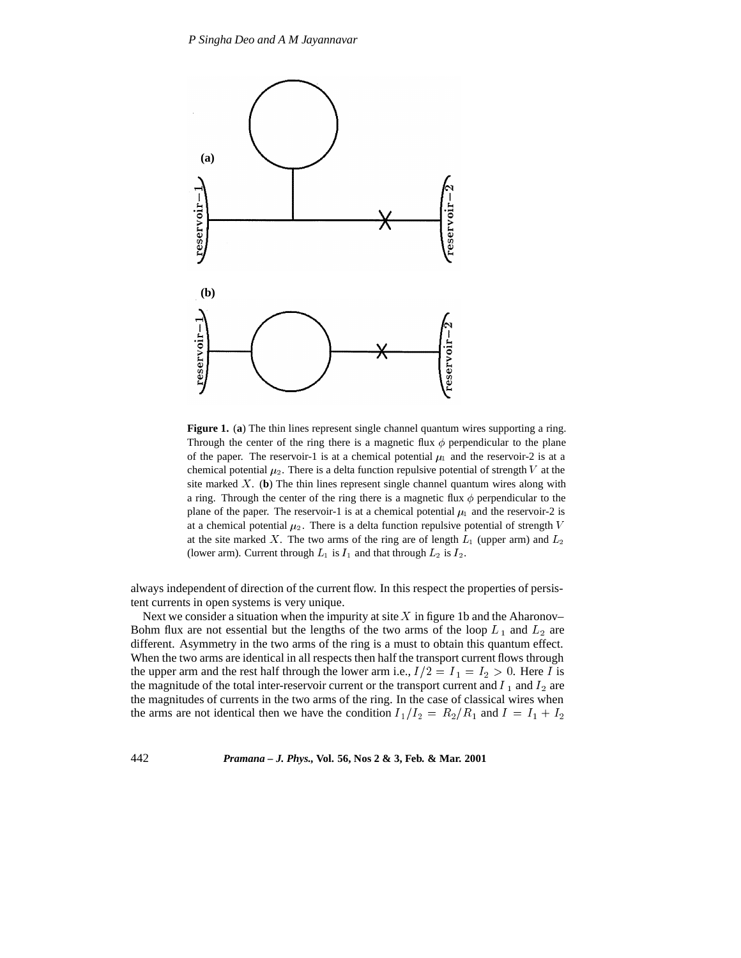

**Figure 1.** (a) The thin lines represent single channel quantum wires supporting a ring. Through the center of the ring there is a magnetic flux  $\phi$  perpendicular to the plane of the paper. The reservoir-1 is at a chemical potential  $\mu_1$  and the reservoir-2 is at a chemical potential  $\mu_2$ . There is a delta function repulsive potential of strength V at the site marked  $X$ . (b) The thin lines represent single channel quantum wires along with a ring. Through the center of the ring there is a magnetic flux  $\phi$  perpendicular to the plane of the paper. The reservoir-1 is at a chemical potential  $\mu_1$  and the reservoir-2 is at a chemical potential  $\mu_2$ . There is a delta function repulsive potential of strength V at the site marked X. The two arms of the ring are of length  $L_1$  (upper arm) and  $L_2$ (lower arm). Current through  $L_1$  is  $I_1$  and that through  $L_2$  is  $I_2$ .

always independent of direction of the current flow. In this respect the properties of persistent currents in open systems is very unique.

Next we consider a situation when the impurity at site  $X$  in figure 1b and the Aharonov– Bohm flux are not essential but the lengths of the two arms of the loop  $L_1$  and  $L_2$  are different. Asymmetry in the two arms of the ring is a must to obtain this quantum effect. When the two arms are identical in all respects then half the transport current flows through the upper arm and the rest half through the lower arm i.e.,  $I/2 = I_1 = I_2 > 0$ . Here I is the magnitude of the total inter-reservoir current or the transport current and  $I_1$  and  $I_2$  are the magnitudes of currents in the two arms of the ring. In the case of classical wires when the arms are not identical then we have the condition  $I_1/I_2 = R_2/R_1$  and  $I = I_1 + I_2$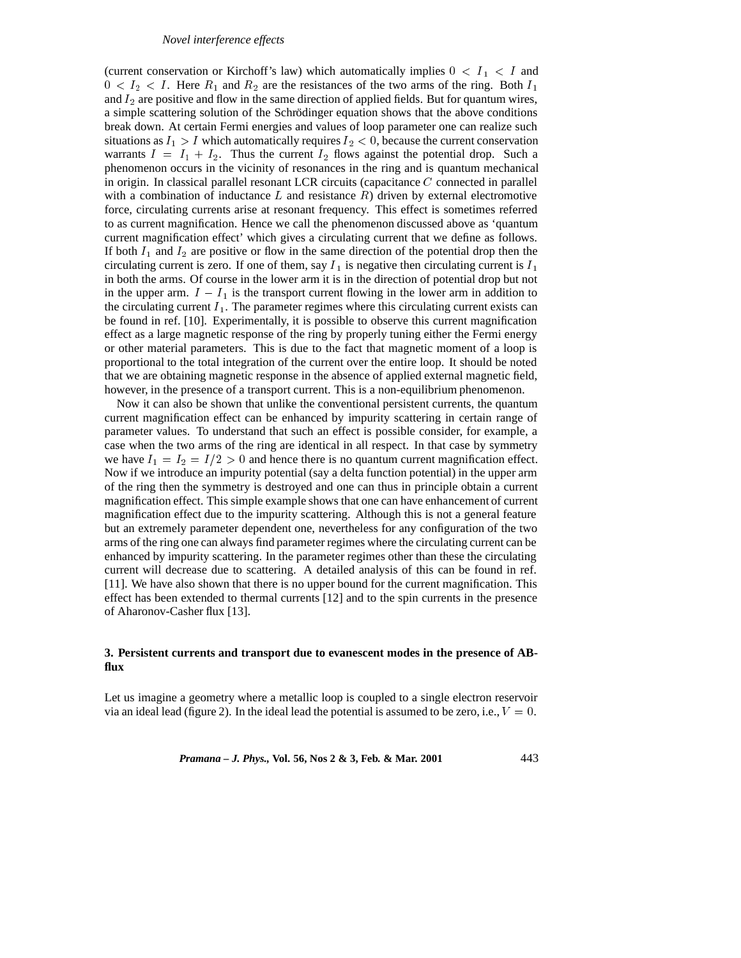(current conservation or Kirchoff's law) which automatically implies  $0 < I_1 < I$  and  $0 < I_2 < I$ . Here  $R_1$  and  $R_2$  are the resistances of the two arms of the ring. Both  $I_1$ and  $I_2$  are positive and flow in the same direction of applied fields. But for quantum wires, a simple scattering solution of the Schrödinger equation shows that the above conditions break down. At certain Fermi energies and values of loop parameter one can realize such situations as  $I_1 > I$  which automatically requires  $I_2 < 0$ , because the current conservation warrants  $I = I_1 + I_2$ . Thus the current  $I_2$  flows against the potential drop. Such a phenomenon occurs in the vicinity of resonances in the ring and is quantum mechanical in origin. In classical parallel resonant LCR circuits (capacitance  $C$  connected in parallel with a combination of inductance  $L$  and resistance  $R$ ) driven by external electromotive force, circulating currents arise at resonant frequency. This effect is sometimes referred to as current magnification. Hence we call the phenomenon discussed above as 'quantum current magnification effect' which gives a circulating current that we define as follows. If both  $I_1$  and  $I_2$  are positive or flow in the same direction of the potential drop then the circulating current is zero. If one of them, say  $I_1$  is negative then circulating current is  $I_1$ in both the arms. Of course in the lower arm it is in the direction of potential drop but not in the upper arm.  $I - I_1$  is the transport current flowing in the lower arm in addition to the circulating current  $I_1$ . The parameter regimes where this circulating current exists can be found in ref. [10]. Experimentally, it is possible to observe this current magnification effect as a large magnetic response of the ring by properly tuning either the Fermi energy or other material parameters. This is due to the fact that magnetic moment of a loop is proportional to the total integration of the current over the entire loop. It should be noted that we are obtaining magnetic response in the absence of applied external magnetic field, however, in the presence of a transport current. This is a non-equilibrium phenomenon.

Now it can also be shown that unlike the conventional persistent currents, the quantum current magnification effect can be enhanced by impurity scattering in certain range of parameter values. To understand that such an effect is possible consider, for example, a case when the two arms of the ring are identical in all respect. In that case by symmetry we have  $I_1 = I_2 = I/2 > 0$  and hence there is no quantum current magnification effect. Now if we introduce an impurity potential (say a delta function potential) in the upper arm of the ring then the symmetry is destroyed and one can thus in principle obtain a current magnification effect. This simple example shows that one can have enhancement of current magnification effect due to the impurity scattering. Although this is not a general feature but an extremely parameter dependent one, nevertheless for any configuration of the two arms of the ring one can always find parameter regimes where the circulating current can be enhanced by impurity scattering. In the parameter regimes other than these the circulating current will decrease due to scattering. A detailed analysis of this can be found in ref. [11]. We have also shown that there is no upper bound for the current magnification. This effect has been extended to thermal currents [12] and to the spin currents in the presence of Aharonov-Casher flux [13].

# **3. Persistent currents and transport due to evanescent modes in the presence of ABflux**

Let us imagine a geometry where a metallic loop is coupled to a single electron reservoir via an ideal lead (figure 2). In the ideal lead the potential is assumed to be zero, i.e.,  $V = 0$ .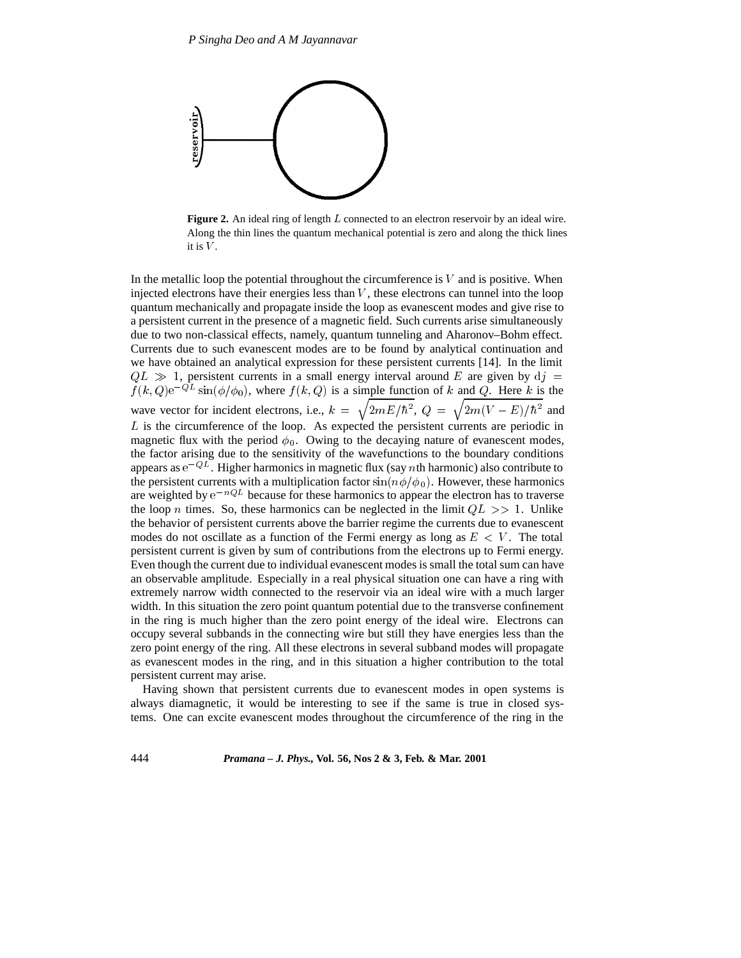

Figure 2. An ideal ring of length L connected to an electron reservoir by an ideal wire. Along the thin lines the quantum mechanical potential is zero and along the thick lines it is <sup>V</sup> .

In the metallic loop the potential throughout the circumference is  $V$  and is positive. When injected electrons have their energies less than  $V$ , these electrons can tunnel into the loop quantum mechanically and propagate inside the loop as evanescent modes and give rise to a persistent current in the presence of a magnetic field. Such currents arise simultaneously due to two non-classical effects, namely, quantum tunneling and Aharonov–Bohm effect. Currents due to such evanescent modes are to be found by analytical continuation and we have obtained an analytical expression for these persistent currents [14]. In the limit  $QL \gg 1$ , persistent currents in a small energy interval around E are given by  $dj =$  $f(k, Q)e^{-QL} \sin(\phi/\phi_0)$ , where  $f(k, Q)$  is a simple function of k and Q. Here k is the wave vector for incident electrons, i.e.,  $k = \sqrt{2mE/\hbar^2}$ ,  $Q = \sqrt{2m(V-E)/\hbar^2}$  and  $L$  is the circumference of the loop. As expected the persistent currents are periodic in magnetic flux with the period  $\phi_0$ . Owing to the decaying nature of evanescent modes, the factor arising due to the sensitivity of the wavefunctions to the boundary conditions appears as  $e^{-QL}$ . Higher harmonics in magnetic flux (say *nth harmonic)* also contribute to the persistent currents with a multiplication factor  $\sin(n\phi/\phi_0)$ . However, these harmonics are weighted by  $e^{-nQL}$  because for these harmonics to appear the electron has to traverse the loop *n* times. So, these harmonics can be neglected in the limit  $QL \gg 1$ . Unlike the behavior of persistent currents above the barrier regime the currents due to evanescent modes do not oscillate as a function of the Fermi energy as long as  $E < V$ . The total persistent current is given by sum of contributions from the electrons up to Fermi energy. Even though the current due to individual evanescent modes is small the total sum can have an observable amplitude. Especially in a real physical situation one can have a ring with extremely narrow width connected to the reservoir via an ideal wire with a much larger width. In this situation the zero point quantum potential due to the transverse confinement in the ring is much higher than the zero point energy of the ideal wire. Electrons can occupy several subbands in the connecting wire but still they have energies less than the zero point energy of the ring. All these electrons in several subband modes will propagate as evanescent modes in the ring, and in this situation a higher contribution to the total persistent current may arise.

Having shown that persistent currents due to evanescent modes in open systems is always diamagnetic, it would be interesting to see if the same is true in closed systems. One can excite evanescent modes throughout the circumference of the ring in the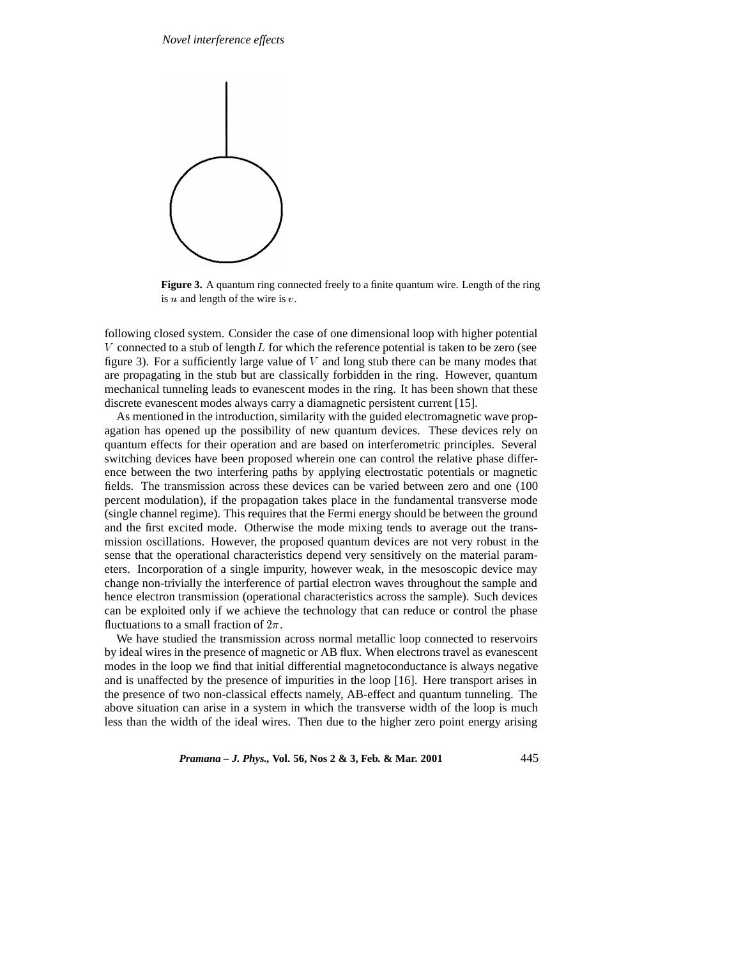

Figure 3. A quantum ring connected freely to a finite quantum wire. Length of the ring is  $u$  and length of the wire is  $v$ .

following closed system. Consider the case of one dimensional loop with higher potential V connected to a stub of length L for which the reference potential is taken to be zero (see figure 3). For a sufficiently large value of  $V$  and long stub there can be many modes that are propagating in the stub but are classically forbidden in the ring. However, quantum mechanical tunneling leads to evanescent modes in the ring. It has been shown that these discrete evanescent modes always carry a diamagnetic persistent current [15].

As mentioned in the introduction, similarity with the guided electromagnetic wave propagation has opened up the possibility of new quantum devices. These devices rely on quantum effects for their operation and are based on interferometric principles. Several switching devices have been proposed wherein one can control the relative phase difference between the two interfering paths by applying electrostatic potentials or magnetic fields. The transmission across these devices can be varied between zero and one (100 percent modulation), if the propagation takes place in the fundamental transverse mode (single channel regime). This requires that the Fermi energy should be between the ground and the first excited mode. Otherwise the mode mixing tends to average out the transmission oscillations. However, the proposed quantum devices are not very robust in the sense that the operational characteristics depend very sensitively on the material parameters. Incorporation of a single impurity, however weak, in the mesoscopic device may change non-trivially the interference of partial electron waves throughout the sample and hence electron transmission (operational characteristics across the sample). Such devices can be exploited only if we achieve the technology that can reduce or control the phase fluctuations to a small fraction of  $2\pi$ .

We have studied the transmission across normal metallic loop connected to reservoirs by ideal wires in the presence of magnetic or AB flux. When electrons travel as evanescent modes in the loop we find that initial differential magnetoconductance is always negative and is unaffected by the presence of impurities in the loop [16]. Here transport arises in the presence of two non-classical effects namely, AB-effect and quantum tunneling. The above situation can arise in a system in which the transverse width of the loop is much less than the width of the ideal wires. Then due to the higher zero point energy arising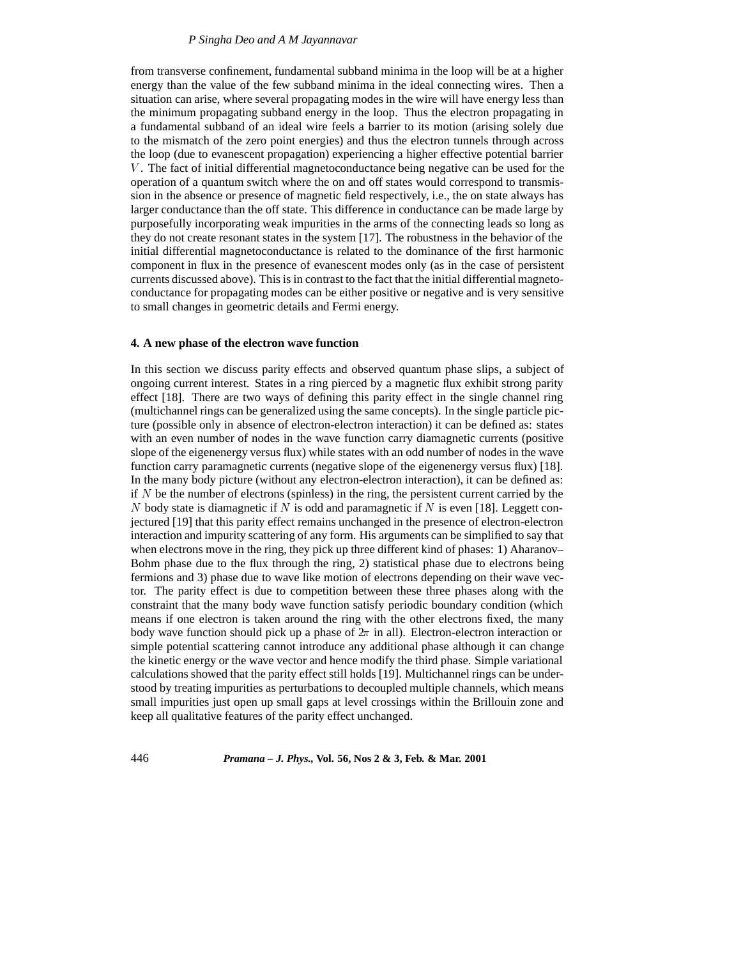from transverse confinement, fundamental subband minima in the loop will be at a higher energy than the value of the few subband minima in the ideal connecting wires. Then a situation can arise, where several propagating modes in the wire will have energy less than the minimum propagating subband energy in the loop. Thus the electron propagating in a fundamental subband of an ideal wire feels a barrier to its motion (arising solely due to the mismatch of the zero point energies) and thus the electron tunnels through across the loop (due to evanescent propagation) experiencing a higher effective potential barrier <sup>V</sup> . The fact of initial differential magnetoconductance being negative can be used for the operation of a quantum switch where the on and off states would correspond to transmission in the absence or presence of magnetic field respectively, i.e., the on state always has larger conductance than the off state. This difference in conductance can be made large by purposefully incorporating weak impurities in the arms of the connecting leads so long as they do not create resonant states in the system [17]. The robustness in the behavior of the initial differential magnetoconductance is related to the dominance of the first harmonic component in flux in the presence of evanescent modes only (as in the case of persistent currents discussed above). This is in contrast to the fact that the initial differential magnetoconductance for propagating modes can be either positive or negative and is very sensitive to small changes in geometric details and Fermi energy.

#### **4. A new phase of the electron wave function**

In this section we discuss parity effects and observed quantum phase slips, a subject of ongoing current interest. States in a ring pierced by a magnetic flux exhibit strong parity effect [18]. There are two ways of defining this parity effect in the single channel ring (multichannel rings can be generalized using the same concepts). In the single particle picture (possible only in absence of electron-electron interaction) it can be defined as: states with an even number of nodes in the wave function carry diamagnetic currents (positive slope of the eigenenergy versus flux) while states with an odd number of nodes in the wave function carry paramagnetic currents (negative slope of the eigenenergy versus flux) [18]. In the many body picture (without any electron-electron interaction), it can be defined as: if  $N$  be the number of electrons (spinless) in the ring, the persistent current carried by the N body state is diamagnetic if N is odd and paramagnetic if N is even [18]. Leggett conjectured [19] that this parity effect remains unchanged in the presence of electron-electron interaction and impurity scattering of any form. His arguments can be simplified to say that when electrons move in the ring, they pick up three different kind of phases: 1) Aharanov– Bohm phase due to the flux through the ring, 2) statistical phase due to electrons being fermions and 3) phase due to wave like motion of electrons depending on their wave vector. The parity effect is due to competition between these three phases along with the constraint that the many body wave function satisfy periodic boundary condition (which means if one electron is taken around the ring with the other electrons fixed, the many body wave function should pick up a phase of  $2\pi$  in all). Electron-electron interaction or simple potential scattering cannot introduce any additional phase although it can change the kinetic energy or the wave vector and hence modify the third phase. Simple variational calculations showed that the parity effect still holds [19]. Multichannel rings can be understood by treating impurities as perturbations to decoupled multiple channels, which means small impurities just open up small gaps at level crossings within the Brillouin zone and keep all qualitative features of the parity effect unchanged.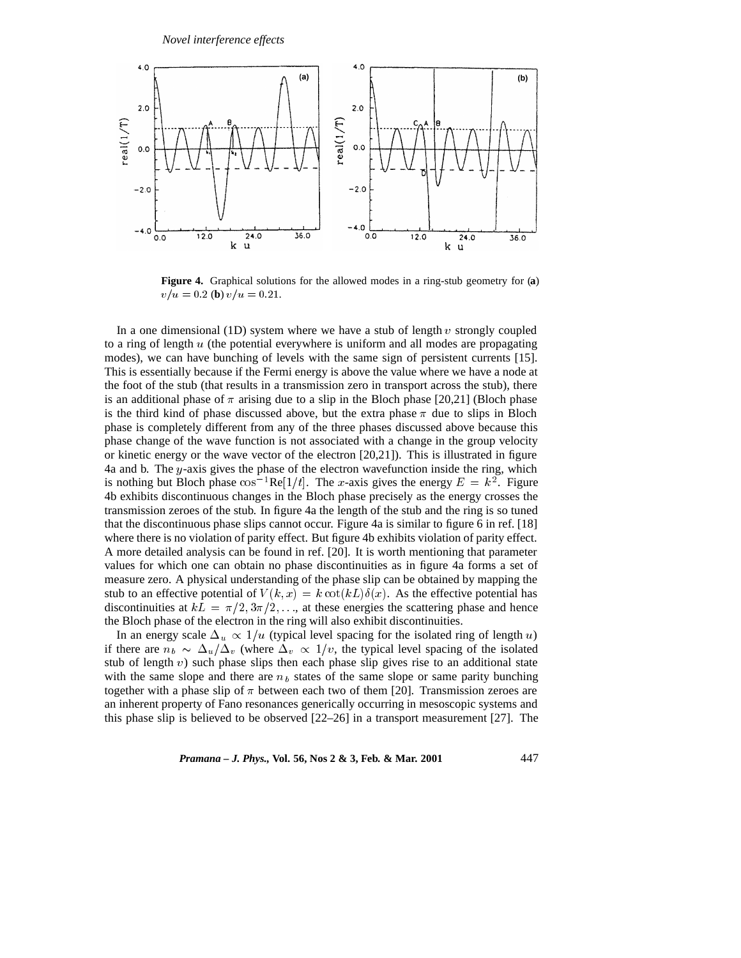

**Figure 4.** Graphical solutions for the allowed modes in a ring-stub geometry for (**a**)  $v/u=0.2$  (**b**)  $v/u=0.21$ .

In a one dimensional (1D) system where we have a stub of length  $v$  strongly coupled to a ring of length  $u$  (the potential everywhere is uniform and all modes are propagating modes), we can have bunching of levels with the same sign of persistent currents [15]. This is essentially because if the Fermi energy is above the value where we have a node at the foot of the stub (that results in a transmission zero in transport across the stub), there is an additional phase of  $\pi$  arising due to a slip in the Bloch phase [20,21] (Bloch phase is the third kind of phase discussed above, but the extra phase  $\pi$  due to slips in Bloch phase is completely different from any of the three phases discussed above because this phase change of the wave function is not associated with a change in the group velocity or kinetic energy or the wave vector of the electron [20,21]). This is illustrated in figure 4a and b. The <sup>y</sup>-axis gives the phase of the electron wavefunction inside the ring, which is nothing but Bloch phase  $\cos^{-1} \text{Re}[1/t]$ . The x-axis gives the energy  $E = k^2$ . Figure 4b exhibits discontinuous changes in the Bloch phase precisely as the energy crosses the transmission zeroes of the stub. In figure 4a the length of the stub and the ring is so tuned that the discontinuous phase slips cannot occur. Figure 4a is similar to figure 6 in ref. [18] where there is no violation of parity effect. But figure 4b exhibits violation of parity effect. A more detailed analysis can be found in ref. [20]. It is worth mentioning that parameter values for which one can obtain no phase discontinuities as in figure 4a forms a set of measure zero. A physical understanding of the phase slip can be obtained by mapping the stub to an effective potential of  $V(k, x) = k \cot(kL)\delta(x)$ . As the effective potential has discontinuities at  $kL = \pi/2, 3\pi/2, \ldots$ , at these energies the scattering phase and hence the Bloch phase of the electron in the ring will also exhibit discontinuities.

In an energy scale  $\Delta_u \propto 1/u$  (typical level spacing for the isolated ring of length u) if there are  $n_b \sim \Delta_u / \Delta_v$  (where  $\Delta_v \propto 1/v$ , the typical level spacing of the isolated stub of length  $v$ ) such phase slips then each phase slip gives rise to an additional state with the same slope and there are  $n<sub>b</sub>$  states of the same slope or same parity bunching together with a phase slip of  $\pi$  between each two of them [20]. Transmission zeroes are an inherent property of Fano resonances generically occurring in mesoscopic systems and this phase slip is believed to be observed [22–26] in a transport measurement [27]. The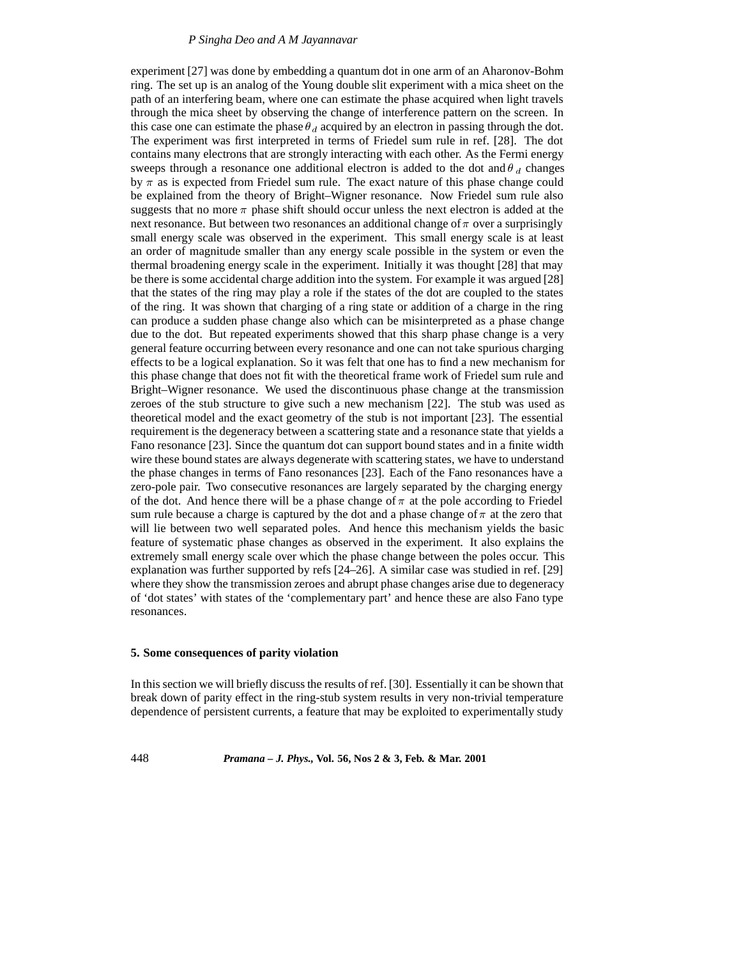experiment [27] was done by embedding a quantum dot in one arm of an Aharonov-Bohm ring. The set up is an analog of the Young double slit experiment with a mica sheet on the path of an interfering beam, where one can estimate the phase acquired when light travels through the mica sheet by observing the change of interference pattern on the screen. In this case one can estimate the phase  $\theta_d$  acquired by an electron in passing through the dot. The experiment was first interpreted in terms of Friedel sum rule in ref. [28]. The dot contains many electrons that are strongly interacting with each other. As the Fermi energy sweeps through a resonance one additional electron is added to the dot and  $\theta_d$  changes by  $\pi$  as is expected from Friedel sum rule. The exact nature of this phase change could be explained from the theory of Bright–Wigner resonance. Now Friedel sum rule also suggests that no more  $\pi$  phase shift should occur unless the next electron is added at the next resonance. But between two resonances an additional change of  $\pi$  over a surprisingly small energy scale was observed in the experiment. This small energy scale is at least an order of magnitude smaller than any energy scale possible in the system or even the thermal broadening energy scale in the experiment. Initially it was thought [28] that may be there is some accidental charge addition into the system. For example it was argued [28] that the states of the ring may play a role if the states of the dot are coupled to the states of the ring. It was shown that charging of a ring state or addition of a charge in the ring can produce a sudden phase change also which can be misinterpreted as a phase change due to the dot. But repeated experiments showed that this sharp phase change is a very general feature occurring between every resonance and one can not take spurious charging effects to be a logical explanation. So it was felt that one has to find a new mechanism for this phase change that does not fit with the theoretical frame work of Friedel sum rule and Bright–Wigner resonance. We used the discontinuous phase change at the transmission zeroes of the stub structure to give such a new mechanism [22]. The stub was used as theoretical model and the exact geometry of the stub is not important [23]. The essential requirement is the degeneracy between a scattering state and a resonance state that yields a Fano resonance [23]. Since the quantum dot can support bound states and in a finite width wire these bound states are always degenerate with scattering states, we have to understand the phase changes in terms of Fano resonances [23]. Each of the Fano resonances have a zero-pole pair. Two consecutive resonances are largely separated by the charging energy of the dot. And hence there will be a phase change of  $\pi$  at the pole according to Friedel sum rule because a charge is captured by the dot and a phase change of  $\pi$  at the zero that will lie between two well separated poles. And hence this mechanism yields the basic feature of systematic phase changes as observed in the experiment. It also explains the extremely small energy scale over which the phase change between the poles occur. This explanation was further supported by refs [24–26]. A similar case was studied in ref. [29] where they show the transmission zeroes and abrupt phase changes arise due to degeneracy of 'dot states' with states of the 'complementary part' and hence these are also Fano type resonances.

#### **5. Some consequences of parity violation**

In this section we will briefly discuss the results of ref. [30]. Essentially it can be shown that break down of parity effect in the ring-stub system results in very non-trivial temperature dependence of persistent currents, a feature that may be exploited to experimentally study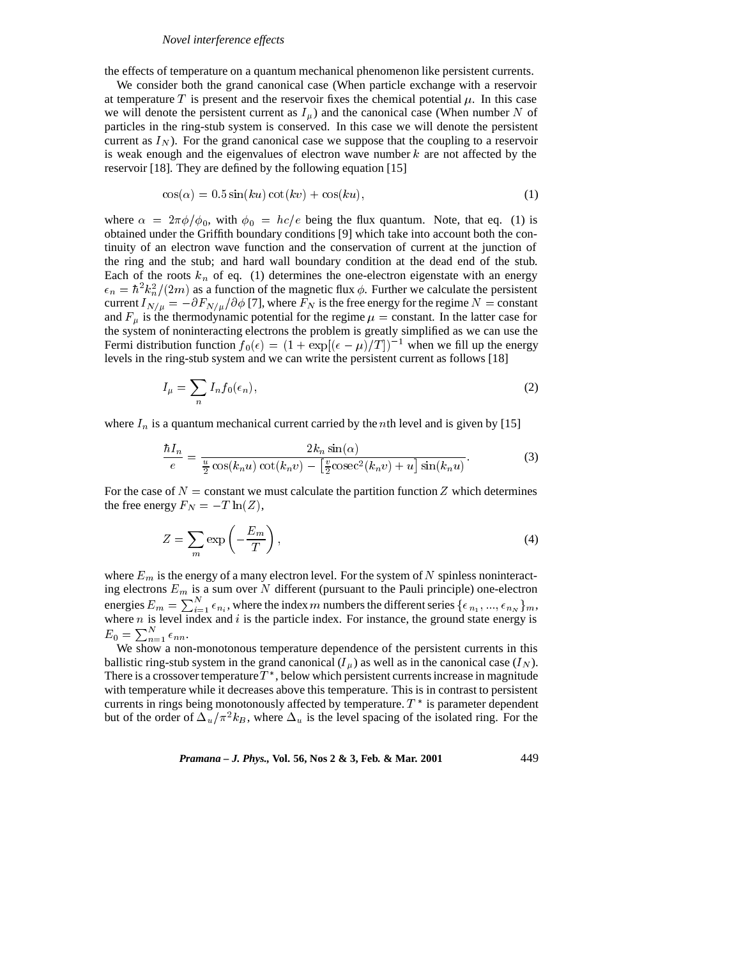the effects of temperature on a quantum mechanical phenomenon like persistent currents.

We consider both the grand canonical case (When particle exchange with a reservoir at temperature T is present and the reservoir fixes the chemical potential  $\mu$ . In this case we will denote the persistent current as  $I_{\mu}$ ) and the canonical case (When number N of particles in the ring-stub system is conserved. In this case we will denote the persistent current as  $I_N$ ). For the grand canonical case we suppose that the coupling to a reservoir is weak enough and the eigenvalues of electron wave number  $k$  are not affected by the reservoir [18]. They are defined by the following equation [15]

$$
\cos(\alpha) = 0.5 \sin(ku)\cot(kv) + \cos(ku),\tag{1}
$$

where  $\alpha = 2\pi\phi/\phi_0$ , with  $\phi_0 = hc/e$  being the flux quantum. Note, that eq. (1) is obtained under the Griffith boundary conditions [9] which take into account both the continuity of an electron wave function and the conservation of current at the junction of the ring and the stub; and hard wall boundary condition at the dead end of the stub. Each of the roots  $k_n$  of eq. (1) determines the one-electron eigenstate with an energy  $\epsilon_n=\hbar^2k_n^2/(2m)$  as a function of the magnetic flux  $\phi$ . Further we calculate the persistent current  $I_{N/\mu}=-\partial F_{N/\mu}/\partial \phi$  [7], where  $F_N$  is the free energy for the regime N = constant and  $F_{\mu}$  is the thermodynamic potential for the regime  $\mu = constant$ . In the latter case for the system of noninteracting electrons the problem is greatly simplified as we can use the Fermi distribution function  $f_0(\epsilon) = (1 + \exp[(\epsilon - \mu)/T])^{-1}$  when we fill up the energy levels in the ring-stub system and we can write the persistent current as follows [18]

$$
I_{\mu} = \sum_{n} I_n f_0(\epsilon_n), \tag{2}
$$

where  $I_n$  is a quantum mechanical current carried by the *n*th level and is given by [15]

$$
\frac{\hbar I_n}{e} = \frac{2k_n \sin(\alpha)}{\frac{u}{2} \cos(k_n u) \cot(k_n v) - \left[\frac{v}{2} \csc^2(k_n v) + u\right] \sin(k_n u)}.
$$
\n(3)

For the case of  $N =$  constant we must calculate the partition function Z which determines the free energy  $F_N = -T \ln(Z)$ ,

$$
Z = \sum_{m} \exp\left(-\frac{E_m}{T}\right),\tag{4}
$$

where  $E_m$  is the energy of a many electron level. For the system of N spinless noninteracting electrons  $E_m$  is a sum over N different (pursuant to the Pauli principle) one-electron energies  $E_m = \sum_{i=1}^N \epsilon_{n_i}$ , where the index m numbers the different series  $\{\epsilon_{n_1}, ..., \epsilon_{n_N}\}_m$ , where  $n$  is level index and  $i$  is the particle index. For instance, the ground state energy is  $E_0 = \sum_{n=1}^N \epsilon_{nn}.$ 

We show a non-monotonous temperature dependence of the persistent currents in this ballistic ring-stub system in the grand canonical  $(I_\mu)$  as well as in the canonical case  $(I_N)$ . There is a crossover temperature  $T^*$ , below which persistent currents increase in magnitude with temperature while it decreases above this temperature. This is in contrast to persistent currents in rings being monotonously affected by temperature.  $T^*$  is parameter dependent but of the order of  $\Delta_u/\pi^2 k_B$ , where  $\Delta_u$  is the level spacing of the isolated ring. For the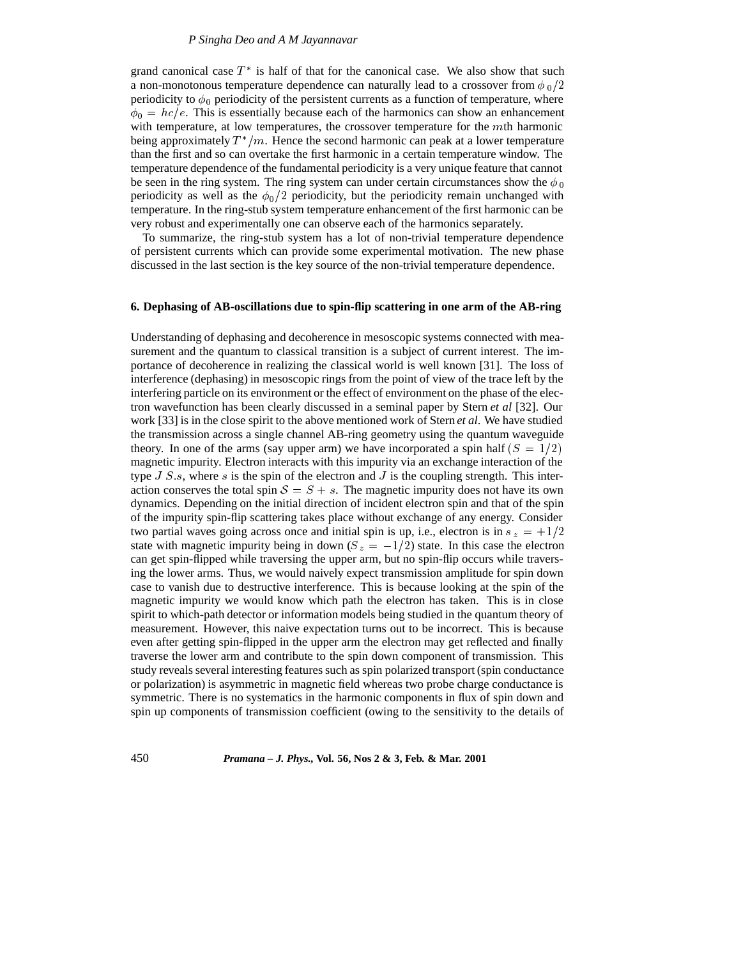grand canonical case  $T^*$  is half of that for the canonical case. We also show that such a non-monotonous temperature dependence can naturally lead to a crossover from  $\phi_0/2$ periodicity to  $\phi_0$  periodicity of the persistent currents as a function of temperature, where  $\phi_0 = hc/e$ . This is essentially because each of the harmonics can show an enhancement with temperature, at low temperatures, the crossover temperature for the mth harmonic being approximately  $T^*/m$ . Hence the second harmonic can peak at a lower temperature than the first and so can overtake the first harmonic in a certain temperature window. The temperature dependence of the fundamental periodicity is a very unique feature that cannot be seen in the ring system. The ring system can under certain circumstances show the  $\phi_0$ periodicity as well as the  $\phi_0/2$  periodicity, but the periodicity remain unchanged with temperature. In the ring-stub system temperature enhancement of the first harmonic can be very robust and experimentally one can observe each of the harmonics separately.

To summarize, the ring-stub system has a lot of non-trivial temperature dependence of persistent currents which can provide some experimental motivation. The new phase discussed in the last section is the key source of the non-trivial temperature dependence.

## **6. Dephasing of AB-oscillations due to spin-flip scattering in one arm of the AB-ring**

Understanding of dephasing and decoherence in mesoscopic systems connected with measurement and the quantum to classical transition is a subject of current interest. The importance of decoherence in realizing the classical world is well known [31]. The loss of interference (dephasing) in mesoscopic rings from the point of view of the trace left by the interfering particle on its environment or the effect of environment on the phase of the electron wavefunction has been clearly discussed in a seminal paper by Stern *et al* [32]. Our work [33] is in the close spirit to the above mentioned work of Stern *et al*. We have studied the transmission across a single channel AB-ring geometry using the quantum waveguide theory. In one of the arms (say upper arm) we have incorporated a spin half  $(S = 1/2)$ magnetic impurity. Electron interacts with this impurity via an exchange interaction of the type  $J \nS$ : where s is the spin of the electron and  $J$  is the coupling strength. This interaction conserves the total spin  $S = S + s$ . The magnetic impurity does not have its own dynamics. Depending on the initial direction of incident electron spin and that of the spin of the impurity spin-flip scattering takes place without exchange of any energy. Consider two partial waves going across once and initial spin is up, i.e., electron is in  $s_z = +1/2$ state with magnetic impurity being in down ( $S_z = -1/2$ ) state. In this case the electron can get spin-flipped while traversing the upper arm, but no spin-flip occurs while traversing the lower arms. Thus, we would naively expect transmission amplitude for spin down case to vanish due to destructive interference. This is because looking at the spin of the magnetic impurity we would know which path the electron has taken. This is in close spirit to which-path detector or information models being studied in the quantum theory of measurement. However, this naive expectation turns out to be incorrect. This is because even after getting spin-flipped in the upper arm the electron may get reflected and finally traverse the lower arm and contribute to the spin down component of transmission. This study reveals several interesting features such as spin polarized transport (spin conductance or polarization) is asymmetric in magnetic field whereas two probe charge conductance is symmetric. There is no systematics in the harmonic components in flux of spin down and spin up components of transmission coefficient (owing to the sensitivity to the details of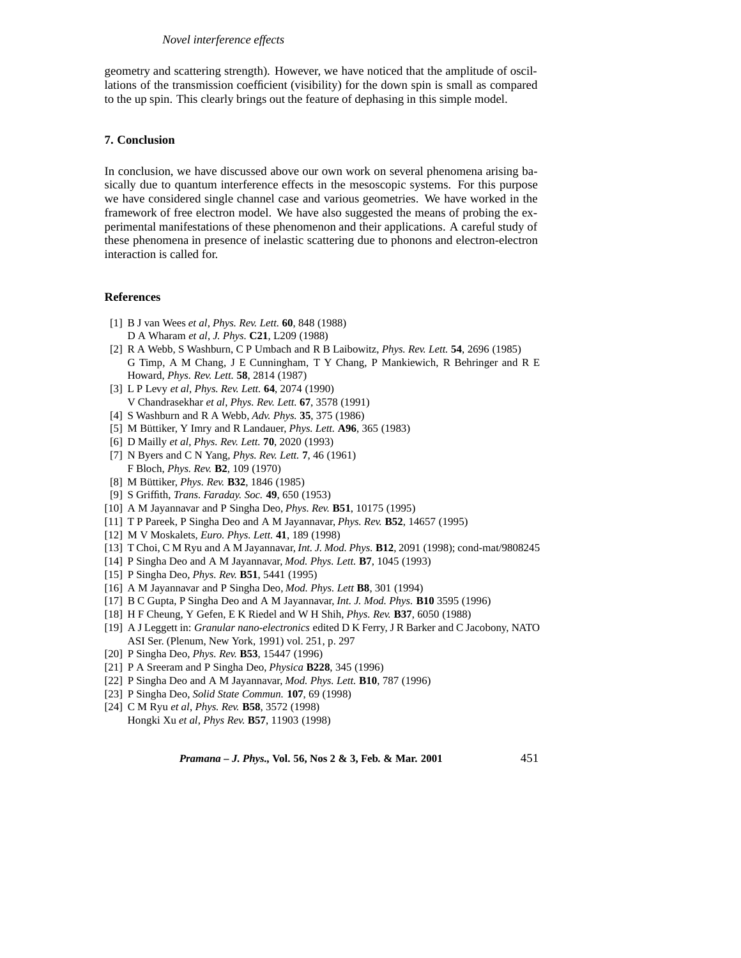geometry and scattering strength). However, we have noticed that the amplitude of oscillations of the transmission coefficient (visibility) for the down spin is small as compared to the up spin. This clearly brings out the feature of dephasing in this simple model.

## **7. Conclusion**

In conclusion, we have discussed above our own work on several phenomena arising basically due to quantum interference effects in the mesoscopic systems. For this purpose we have considered single channel case and various geometries. We have worked in the framework of free electron model. We have also suggested the means of probing the experimental manifestations of these phenomenon and their applications. A careful study of these phenomena in presence of inelastic scattering due to phonons and electron-electron interaction is called for.

# **References**

- [1] B J van Wees *et al*, *Phys. Rev. Lett.* **60**, 848 (1988) D A Wharam *et al*, *J. Phys.* **C21**, L209 (1988)
- [2] R A Webb, S Washburn, C P Umbach and R B Laibowitz, *Phys. Rev. Lett.* **54**, 2696 (1985) G Timp, A M Chang, J E Cunningham, T Y Chang, P Mankiewich, R Behringer and R E Howard, *Phys. Rev. Lett.* **58**, 2814 (1987)
- [3] L P Levy *et al*, *Phys. Rev. Lett.* **64**, 2074 (1990) V Chandrasekhar *et al*, *Phys. Rev. Lett.* **67**, 3578 (1991)
- [4] S Washburn and R A Webb, *Adv. Phys.* **35**, 375 (1986)
- [5] M Büttiker, Y Imry and R Landauer, *Phys. Lett.* **A96**, 365 (1983)
- [6] D Mailly *et al*, *Phys. Rev. Lett.* **70**, 2020 (1993)
- [7] N Byers and C N Yang, *Phys. Rev. Lett.* **7**, 46 (1961) F Bloch, *Phys. Rev.* **B2**, 109 (1970)
- [8] M Büttiker, *Phys. Rev.* **B32**, 1846 (1985)
- [9] S Griffith, *Trans. Faraday. Soc.* **49**, 650 (1953)
- [10] A M Jayannavar and P Singha Deo, *Phys. Rev.* **B51**, 10175 (1995)
- [11] T P Pareek, P Singha Deo and A M Jayannavar, *Phys. Rev.* **B52**, 14657 (1995)
- [12] M V Moskalets, *Euro. Phys. Lett.* **41**, 189 (1998)
- [13] T Choi, C M Ryu and A M Jayannavar, *Int. J. Mod. Phys.* **B12**, 2091 (1998); cond-mat/9808245
- [14] P Singha Deo and A M Jayannavar, *Mod. Phys. Lett.* **B7**, 1045 (1993)
- [15] P Singha Deo, *Phys. Rev.* **B51**, 5441 (1995)
- [16] A M Jayannavar and P Singha Deo, *Mod. Phys. Lett* **B8**, 301 (1994)
- [17] B C Gupta, P Singha Deo and A M Jayannavar, *Int. J. Mod. Phys.* **B10** 3595 (1996)
- [18] H F Cheung, Y Gefen, E K Riedel and W H Shih, *Phys. Rev.* **B37**, 6050 (1988)
- [19] A J Leggett in: *Granular nano-electronics* edited D K Ferry, J R Barker and C Jacobony, NATO ASI Ser. (Plenum, New York, 1991) vol. 251, p. 297
- [20] P Singha Deo, *Phys. Rev.* **B53**, 15447 (1996)
- [21] P A Sreeram and P Singha Deo, *Physica* **B228**, 345 (1996)
- [22] P Singha Deo and A M Jayannavar, *Mod. Phys. Lett.* **B10**, 787 (1996)
- [23] P Singha Deo, *Solid State Commun.* **107**, 69 (1998)
- [24] C M Ryu *et al*, *Phys. Rev.* **B58**, 3572 (1998) Hongki Xu *et al*, *Phys Rev.* **B57**, 11903 (1998)